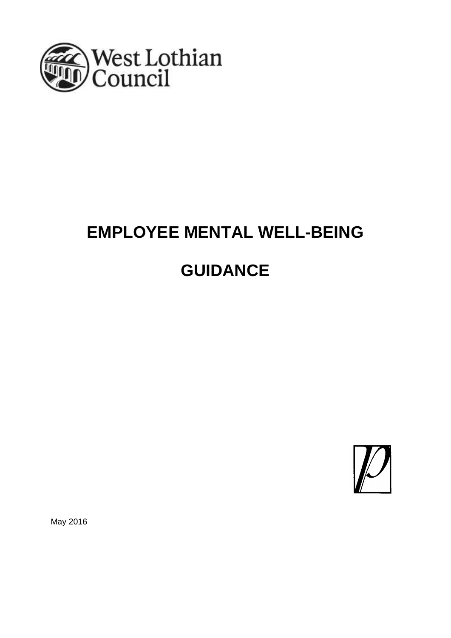

# **EMPLOYEE MENTAL WELL-BEING GUIDANCE**



May 2016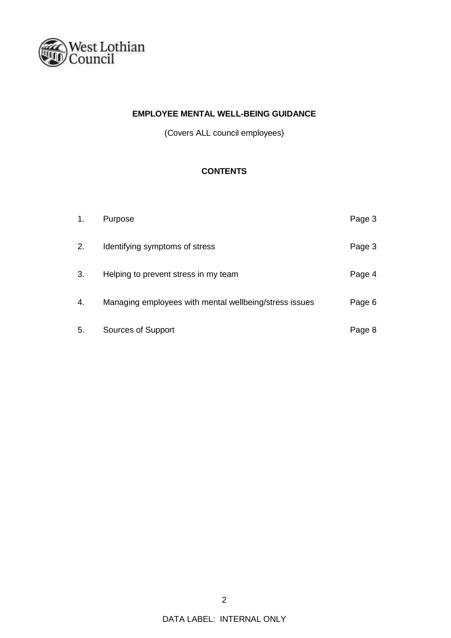

# **EMPLOYEE MENTAL WELL-BEING GUIDANCE**

(Covers ALL council employees)

# **CONTENTS**

| 1. | Purpose                                                | Page 3 |
|----|--------------------------------------------------------|--------|
| 2. | Identifying symptoms of stress                         | Page 3 |
| 3. | Helping to prevent stress in my team                   | Page 4 |
| 4. | Managing employees with mental wellbeing/stress issues | Page 6 |
| 5. | Sources of Support                                     | Page 8 |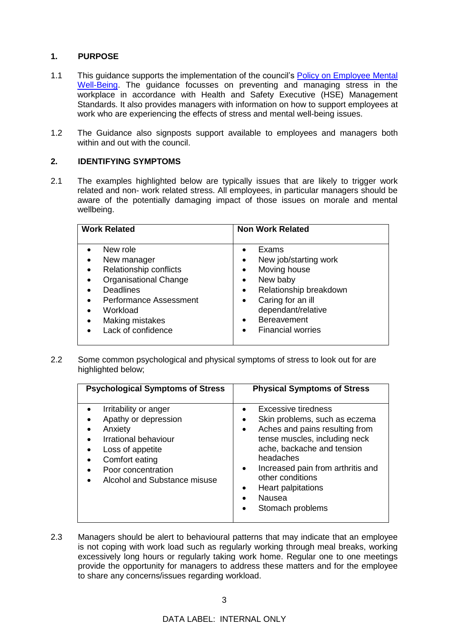# **1. PURPOSE**

- 1.1 This guidance supports the implementation of the council's **Policy on Employee Mental** [Well-Being.](Employee%20Mental%20Well%20Being%20Guidance%20-%203%20May%202016.docx) The guidance focusses on preventing and managing stress in the workplace in accordance with Health and Safety Executive (HSE) Management Standards. It also provides managers with information on how to support employees at work who are experiencing the effects of stress and mental well-being issues.
- 1.2 The Guidance also signposts support available to employees and managers both within and out with the council.

## **2. IDENTIFYING SYMPTOMS**

2.1 The examples highlighted below are typically issues that are likely to trigger work related and non- work related stress. All employees, in particular managers should be aware of the potentially damaging impact of those issues on morale and mental wellbeing.

| <b>Work Related</b>                                                                                                                                                                                                                                                       | <b>Non Work Related</b>                                                                                                                                                                                                                                                                   |  |
|---------------------------------------------------------------------------------------------------------------------------------------------------------------------------------------------------------------------------------------------------------------------------|-------------------------------------------------------------------------------------------------------------------------------------------------------------------------------------------------------------------------------------------------------------------------------------------|--|
| New role<br>New manager<br>$\bullet$<br>Relationship conflicts<br>$\bullet$<br><b>Organisational Change</b><br>$\bullet$<br><b>Deadlines</b><br><b>Performance Assessment</b><br>$\bullet$<br>Workload<br>$\bullet$<br>Making mistakes<br>$\bullet$<br>Lack of confidence | Exams<br>$\bullet$<br>New job/starting work<br>$\bullet$<br>Moving house<br>$\bullet$<br>New baby<br>$\bullet$<br>Relationship breakdown<br>$\bullet$<br>Caring for an ill<br>$\bullet$<br>dependant/relative<br><b>Bereavement</b><br>$\bullet$<br><b>Financial worries</b><br>$\bullet$ |  |

2.2 Some common psychological and physical symptoms of stress to look out for are highlighted below;

| <b>Psychological Symptoms of Stress</b>                                                                                                                                             | <b>Physical Symptoms of Stress</b>                                                                                                                                                                                                                                                                                          |  |
|-------------------------------------------------------------------------------------------------------------------------------------------------------------------------------------|-----------------------------------------------------------------------------------------------------------------------------------------------------------------------------------------------------------------------------------------------------------------------------------------------------------------------------|--|
| Irritability or anger<br>Apathy or depression<br>Anxiety<br><b>Irrational behaviour</b><br>Loss of appetite<br>Comfort eating<br>Poor concentration<br>Alcohol and Substance misuse | Excessive tiredness<br>Skin problems, such as eczema<br>٠<br>Aches and pains resulting from<br>$\bullet$<br>tense muscles, including neck<br>ache, backache and tension<br>headaches<br>Increased pain from arthritis and<br>$\bullet$<br>other conditions<br>Heart palpitations<br>Nausea<br>Stomach problems<br>$\bullet$ |  |

2.3 Managers should be alert to behavioural patterns that may indicate that an employee is not coping with work load such as regularly working through meal breaks, working excessively long hours or regularly taking work home. Regular one to one meetings provide the opportunity for managers to address these matters and for the employee to share any concerns/issues regarding workload.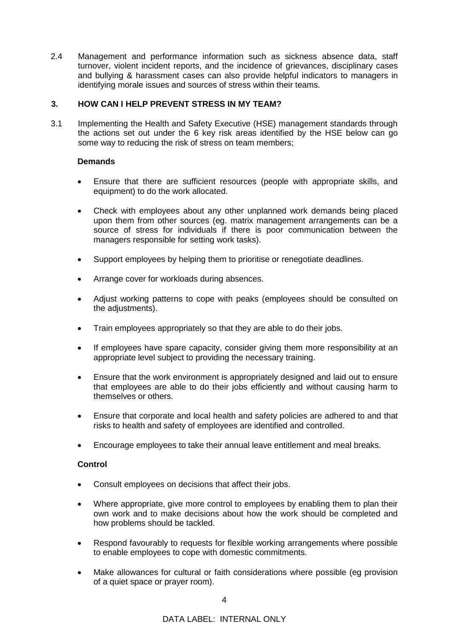2.4 Management and performance information such as sickness absence data, staff turnover, violent incident reports, and the incidence of grievances, disciplinary cases and bullying & harassment cases can also provide helpful indicators to managers in identifying morale issues and sources of stress within their teams.

# **3. HOW CAN I HELP PREVENT STRESS IN MY TEAM?**

3.1 Implementing the Health and Safety Executive (HSE) management standards through the actions set out under the 6 key risk areas identified by the HSE below can go some way to reducing the risk of stress on team members;

# **Demands**

- Ensure that there are sufficient resources (people with appropriate skills, and equipment) to do the work allocated.
- Check with employees about any other unplanned work demands being placed upon them from other sources (eg. matrix management arrangements can be a source of stress for individuals if there is poor communication between the managers responsible for setting work tasks).
- Support employees by helping them to prioritise or renegotiate deadlines.
- Arrange cover for workloads during absences.
- Adjust working patterns to cope with peaks (employees should be consulted on the adjustments).
- Train employees appropriately so that they are able to do their jobs.
- If employees have spare capacity, consider giving them more responsibility at an appropriate level subject to providing the necessary training.
- Ensure that the work environment is appropriately designed and laid out to ensure that employees are able to do their jobs efficiently and without causing harm to themselves or others.
- Ensure that corporate and local health and safety policies are adhered to and that risks to health and safety of employees are identified and controlled.
- Encourage employees to take their annual leave entitlement and meal breaks.

#### **Control**

- Consult employees on decisions that affect their jobs.
- Where appropriate, give more control to employees by enabling them to plan their own work and to make decisions about how the work should be completed and how problems should be tackled.
- Respond favourably to requests for flexible working arrangements where possible to enable employees to cope with domestic commitments.
- Make allowances for cultural or faith considerations where possible (eg provision of a quiet space or prayer room).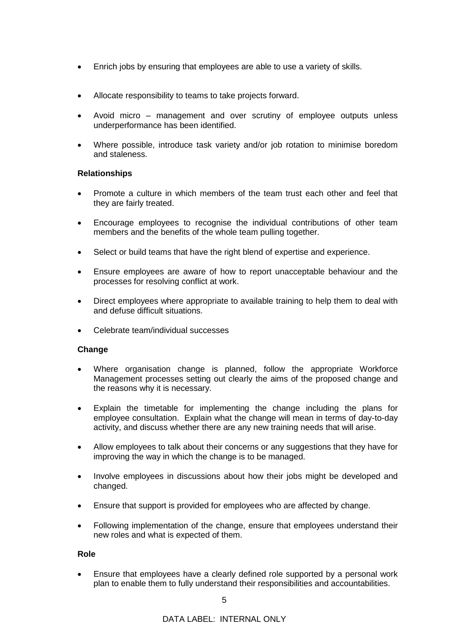- Enrich jobs by ensuring that employees are able to use a variety of skills.
- Allocate responsibility to teams to take projects forward.
- Avoid micro management and over scrutiny of employee outputs unless underperformance has been identified.
- Where possible, introduce task variety and/or job rotation to minimise boredom and staleness.

# **Relationships**

- Promote a culture in which members of the team trust each other and feel that they are fairly treated.
- Encourage employees to recognise the individual contributions of other team members and the benefits of the whole team pulling together.
- Select or build teams that have the right blend of expertise and experience.
- Ensure employees are aware of how to report unacceptable behaviour and the processes for resolving conflict at work.
- Direct employees where appropriate to available training to help them to deal with and defuse difficult situations.
- Celebrate team/individual successes

#### **Change**

- Where organisation change is planned, follow the appropriate Workforce Management processes setting out clearly the aims of the proposed change and the reasons why it is necessary.
- Explain the timetable for implementing the change including the plans for employee consultation. Explain what the change will mean in terms of day-to-day activity, and discuss whether there are any new training needs that will arise.
- Allow employees to talk about their concerns or any suggestions that they have for improving the way in which the change is to be managed.
- Involve employees in discussions about how their jobs might be developed and changed.
- Ensure that support is provided for employees who are affected by change.
- Following implementation of the change, ensure that employees understand their new roles and what is expected of them.

#### **Role**

 Ensure that employees have a clearly defined role supported by a personal work plan to enable them to fully understand their responsibilities and accountabilities.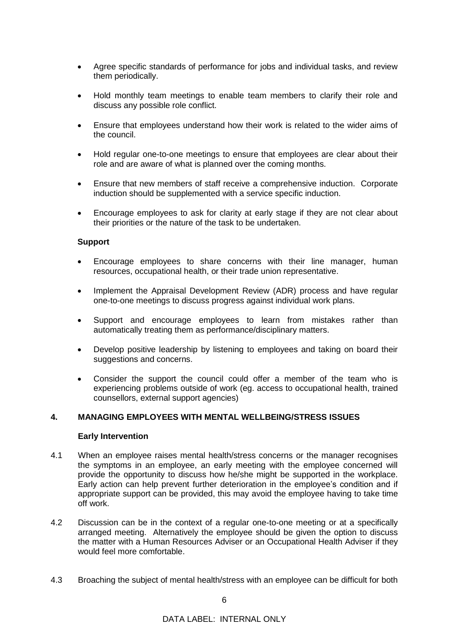- Agree specific standards of performance for jobs and individual tasks, and review them periodically.
- Hold monthly team meetings to enable team members to clarify their role and discuss any possible role conflict.
- Ensure that employees understand how their work is related to the wider aims of the council.
- Hold regular one-to-one meetings to ensure that employees are clear about their role and are aware of what is planned over the coming months.
- Ensure that new members of staff receive a comprehensive induction. Corporate induction should be supplemented with a service specific induction.
- Encourage employees to ask for clarity at early stage if they are not clear about their priorities or the nature of the task to be undertaken.

#### **Support**

- Encourage employees to share concerns with their line manager, human resources, occupational health, or their trade union representative.
- Implement the Appraisal Development Review (ADR) process and have regular one-to-one meetings to discuss progress against individual work plans.
- Support and encourage employees to learn from mistakes rather than automatically treating them as performance/disciplinary matters.
- Develop positive leadership by listening to employees and taking on board their suggestions and concerns.
- Consider the support the council could offer a member of the team who is experiencing problems outside of work (eg. access to occupational health, trained counsellors, external support agencies)

#### **4. MANAGING EMPLOYEES WITH MENTAL WELLBEING/STRESS ISSUES**

#### **Early Intervention**

- 4.1 When an employee raises mental health/stress concerns or the manager recognises the symptoms in an employee, an early meeting with the employee concerned will provide the opportunity to discuss how he/she might be supported in the workplace. Early action can help prevent further deterioration in the employee's condition and if appropriate support can be provided, this may avoid the employee having to take time off work.
- 4.2 Discussion can be in the context of a regular one-to-one meeting or at a specifically arranged meeting. Alternatively the employee should be given the option to discuss the matter with a Human Resources Adviser or an Occupational Health Adviser if they would feel more comfortable.
- 4.3 Broaching the subject of mental health/stress with an employee can be difficult for both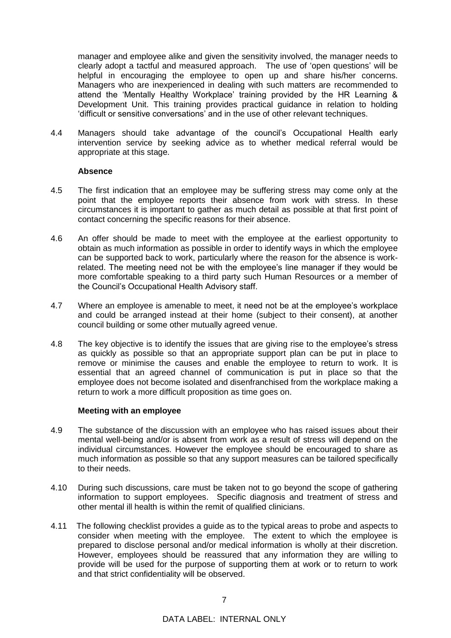manager and employee alike and given the sensitivity involved, the manager needs to clearly adopt a tactful and measured approach. The use of 'open questions' will be helpful in encouraging the employee to open up and share his/her concerns. Managers who are inexperienced in dealing with such matters are recommended to attend the 'Mentally Healthy Workplace' training provided by the HR Learning & Development Unit. This training provides practical guidance in relation to holding 'difficult or sensitive conversations' and in the use of other relevant techniques.

4.4 Managers should take advantage of the council's Occupational Health early intervention service by seeking advice as to whether medical referral would be appropriate at this stage.

#### **Absence**

- 4.5 The first indication that an employee may be suffering stress may come only at the point that the employee reports their absence from work with stress. In these circumstances it is important to gather as much detail as possible at that first point of contact concerning the specific reasons for their absence.
- 4.6 An offer should be made to meet with the employee at the earliest opportunity to obtain as much information as possible in order to identify ways in which the employee can be supported back to work, particularly where the reason for the absence is workrelated. The meeting need not be with the employee's line manager if they would be more comfortable speaking to a third party such Human Resources or a member of the Council's Occupational Health Advisory staff.
- 4.7 Where an employee is amenable to meet, it need not be at the employee's workplace and could be arranged instead at their home (subject to their consent), at another council building or some other mutually agreed venue.
- 4.8 The key objective is to identify the issues that are giving rise to the employee's stress as quickly as possible so that an appropriate support plan can be put in place to remove or minimise the causes and enable the employee to return to work. It is essential that an agreed channel of communication is put in place so that the employee does not become isolated and disenfranchised from the workplace making a return to work a more difficult proposition as time goes on.

#### **Meeting with an employee**

- 4.9 The substance of the discussion with an employee who has raised issues about their mental well-being and/or is absent from work as a result of stress will depend on the individual circumstances. However the employee should be encouraged to share as much information as possible so that any support measures can be tailored specifically to their needs.
- 4.10 During such discussions, care must be taken not to go beyond the scope of gathering information to support employees. Specific diagnosis and treatment of stress and other mental ill health is within the remit of qualified clinicians.
- 4.11 The following checklist provides a guide as to the typical areas to probe and aspects to consider when meeting with the employee. The extent to which the employee is prepared to disclose personal and/or medical information is wholly at their discretion. However, employees should be reassured that any information they are willing to provide will be used for the purpose of supporting them at work or to return to work and that strict confidentiality will be observed.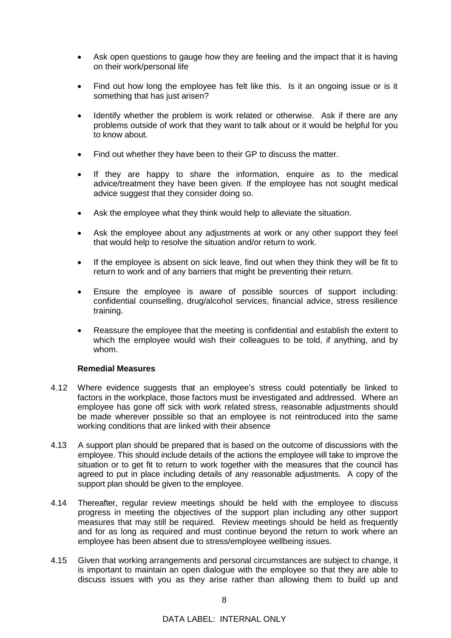- Ask open questions to gauge how they are feeling and the impact that it is having on their work/personal life
- Find out how long the employee has felt like this. Is it an ongoing issue or is it something that has just arisen?
- Identify whether the problem is work related or otherwise. Ask if there are any problems outside of work that they want to talk about or it would be helpful for you to know about.
- Find out whether they have been to their GP to discuss the matter.
- If they are happy to share the information, enquire as to the medical advice/treatment they have been given. If the employee has not sought medical advice suggest that they consider doing so.
- Ask the employee what they think would help to alleviate the situation.
- Ask the employee about any adjustments at work or any other support they feel that would help to resolve the situation and/or return to work.
- If the employee is absent on sick leave, find out when they think they will be fit to return to work and of any barriers that might be preventing their return.
- Ensure the employee is aware of possible sources of support including: confidential counselling, drug/alcohol services, financial advice, stress resilience training.
- Reassure the employee that the meeting is confidential and establish the extent to which the employee would wish their colleagues to be told, if anything, and by whom.

### **Remedial Measures**

- 4.12 Where evidence suggests that an employee's stress could potentially be linked to factors in the workplace, those factors must be investigated and addressed. Where an employee has gone off sick with work related stress, reasonable adjustments should be made wherever possible so that an employee is not reintroduced into the same working conditions that are linked with their absence
- 4.13 A support plan should be prepared that is based on the outcome of discussions with the employee. This should include details of the actions the employee will take to improve the situation or to get fit to return to work together with the measures that the council has agreed to put in place including details of any reasonable adjustments. A copy of the support plan should be given to the employee.
- 4.14 Thereafter, regular review meetings should be held with the employee to discuss progress in meeting the objectives of the support plan including any other support measures that may still be required. Review meetings should be held as frequently and for as long as required and must continue beyond the return to work where an employee has been absent due to stress/employee wellbeing issues.
- 4.15 Given that working arrangements and personal circumstances are subject to change, it is important to maintain an open dialogue with the employee so that they are able to discuss issues with you as they arise rather than allowing them to build up and